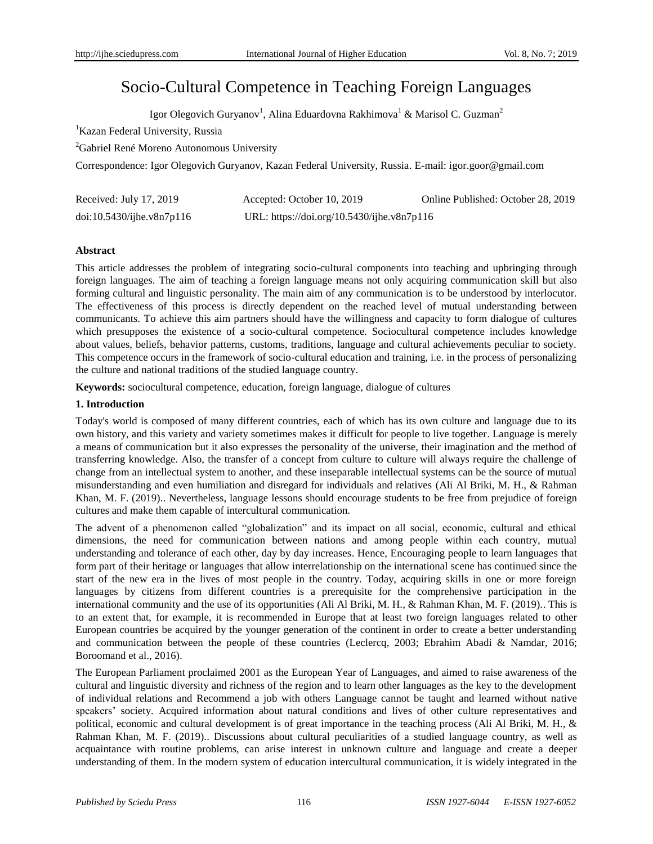# Socio-Cultural Competence in Teaching Foreign Languages

Igor Olegovich Guryanov $^{\rm l}$ , Alina Eduardovna Rakhimova $^{\rm l}$  & Marisol C. Guzman $^{\rm 2}$ 

<sup>1</sup>Kazan Federal University, Russia

<sup>2</sup>Gabriel RenéMoreno Autonomous University

Correspondence: Igor Olegovich Guryanov, Kazan Federal University, Russia. E-mail: [igor.goor@gmail.com](mailto:igor.goor@gmail.com)

| Received: July 17, 2019      | Accepted: October 10, 2019                 | Online Published: October 28, 2019 |
|------------------------------|--------------------------------------------|------------------------------------|
| $doi:10.5430/ij$ he.v8n7p116 | URL: https://doi.org/10.5430/ijhe.v8n7p116 |                                    |

## **Abstract**

This article addresses the problem of integrating socio-cultural components into teaching and upbringing through foreign languages. The aim of teaching a foreign language means not only acquiring communication skill but also forming cultural and linguistic personality. The main aim of any communication is to be understood by interlocutor. The effectiveness of this process is directly dependent on the reached level of mutual understanding between communicants. To achieve this aim partners should have the willingness and capacity to form dialogue of cultures which presupposes the existence of a socio-cultural competence. Sociocultural competence includes knowledge about values, beliefs, behavior patterns, customs, traditions, language and cultural achievements peculiar to society. This competence occurs in the framework of socio-cultural education and training, i.e. in the process of personalizing the culture and national traditions of the studied language country.

**Keywords:** sociocultural competence, education, foreign language, dialogue of cultures

## **1. Introduction**

Today's world is composed of many different countries, each of which has its own culture and language due to its own history, and this variety and variety sometimes makes it difficult for people to live together. Language is merely a means of communication but it also expresses the personality of the universe, their imagination and the method of transferring knowledge. Also, the transfer of a concept from culture to culture will always require the challenge of change from an intellectual system to another, and these inseparable intellectual systems can be the source of mutual misunderstanding and even humiliation and disregard for individuals and relatives (Ali Al Briki, M. H., & Rahman Khan, M. F. (2019).. Nevertheless, language lessons should encourage students to be free from prejudice of foreign cultures and make them capable of intercultural communication.

The advent of a phenomenon called "globalization" and its impact on all social, economic, cultural and ethical dimensions, the need for communication between nations and among people within each country, mutual understanding and tolerance of each other, day by day increases. Hence, Encouraging people to learn languages that form part of their heritage or languages that allow interrelationship on the international scene has continued since the start of the new era in the lives of most people in the country. Today, acquiring skills in one or more foreign languages by citizens from different countries is a prerequisite for the comprehensive participation in the international community and the use of its opportunities (Ali Al Briki, M. H., & Rahman Khan, M. F. (2019).. This is to an extent that, for example, it is recommended in Europe that at least two foreign languages related to other European countries be acquired by the younger generation of the continent in order to create a better understanding and communication between the people of these countries (Leclercq, 2003; Ebrahim Abadi & Namdar, 2016; Boroomand et al., 2016).

The European Parliament proclaimed 2001 as the European Year of Languages, and aimed to raise awareness of the cultural and linguistic diversity and richness of the region and to learn other languages as the key to the development of individual relations and Recommend a job with others Language cannot be taught and learned without native speakers' society. Acquired information about natural conditions and lives of other culture representatives and political, economic and cultural development is of great importance in the teaching process (Ali Al Briki, M. H., & Rahman Khan, M. F. (2019).. Discussions about cultural peculiarities of a studied language country, as well as acquaintance with routine problems, can arise interest in unknown culture and language and create a deeper understanding of them. In the modern system of education intercultural communication, it is widely integrated in the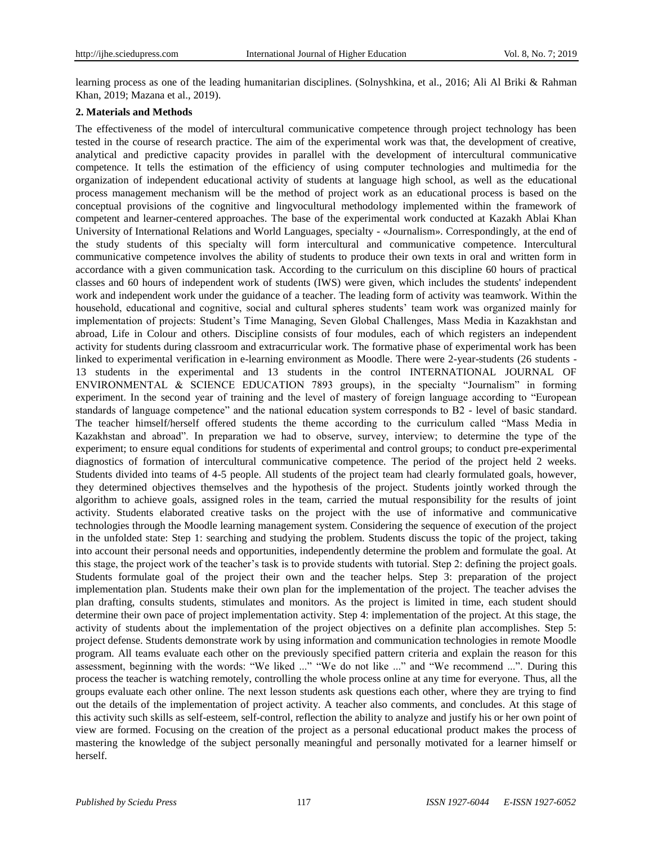learning process as one of the leading humanitarian disciplines. (Solnyshkina, et al., 2016; Ali Al Briki & Rahman Khan, 2019; Mazana et al., 2019).

#### **2. Materials and Methods**

The effectiveness of the model of intercultural communicative competence through project technology has been tested in the course of research practice. The aim of the experimental work was that, the development of creative, analytical and predictive capacity provides in parallel with the development of intercultural communicative competence. It tells the estimation of the efficiency of using computer technologies and multimedia for the organization of independent educational activity of students at language high school, as well as the educational process management mechanism will be the method of project work as an educational process is based on the conceptual provisions of the cognitive and lingvocultural methodology implemented within the framework of competent and learner-centered approaches. The base of the experimental work conducted at Kazakh Ablai Khan University of International Relations and World Languages, specialty - «Journalism». Correspondingly, at the end of the study students of this specialty will form intercultural and communicative competence. Intercultural communicative competence involves the ability of students to produce their own texts in oral and written form in accordance with a given communication task. According to the curriculum on this discipline 60 hours of practical classes and 60 hours of independent work of students (IWS) were given, which includes the students' independent work and independent work under the guidance of a teacher. The leading form of activity was teamwork. Within the household, educational and cognitive, social and cultural spheres students' team work was organized mainly for implementation of projects: Student's Time Managing, Seven Global Challenges, Mass Media in Kazakhstan and abroad, Life in Colour and others. Discipline consists of four modules, each of which registers an independent activity for students during classroom and extracurricular work. The formative phase of experimental work has been linked to experimental verification in e-learning environment as Moodle. There were 2-year-students (26 students - 13 students in the experimental and 13 students in the control INTERNATIONAL JOURNAL OF ENVIRONMENTAL & SCIENCE EDUCATION 7893 groups), in the specialty "Journalism" in forming experiment. In the second year of training and the level of mastery of foreign language according to "European standards of language competence" and the national education system corresponds to B2 - level of basic standard. The teacher himself/herself offered students the theme according to the curriculum called "Mass Media in Kazakhstan and abroad". In preparation we had to observe, survey, interview; to determine the type of the experiment; to ensure equal conditions for students of experimental and control groups; to conduct pre-experimental diagnostics of formation of intercultural communicative competence. The period of the project held 2 weeks. Students divided into teams of 4-5 people. All students of the project team had clearly formulated goals, however, they determined objectives themselves and the hypothesis of the project. Students jointly worked through the algorithm to achieve goals, assigned roles in the team, carried the mutual responsibility for the results of joint activity. Students elaborated creative tasks on the project with the use of informative and communicative technologies through the Moodle learning management system. Considering the sequence of execution of the project in the unfolded state: Step 1: searching and studying the problem. Students discuss the topic of the project, taking into account their personal needs and opportunities, independently determine the problem and formulate the goal. At this stage, the project work of the teacher's task is to provide students with tutorial. Step 2: defining the project goals. Students formulate goal of the project their own and the teacher helps. Step 3: preparation of the project implementation plan. Students make their own plan for the implementation of the project. The teacher advises the plan drafting, consults students, stimulates and monitors. As the project is limited in time, each student should determine their own pace of project implementation activity. Step 4: implementation of the project. At this stage, the activity of students about the implementation of the project objectives on a definite plan accomplishes. Step 5: project defense. Students demonstrate work by using information and communication technologies in remote Moodle program. All teams evaluate each other on the previously specified pattern criteria and explain the reason for this assessment, beginning with the words: "We liked ..." "We do not like ..." and "We recommend ...". During this process the teacher is watching remotely, controlling the whole process online at any time for everyone. Thus, all the groups evaluate each other online. The next lesson students ask questions each other, where they are trying to find out the details of the implementation of project activity. A teacher also comments, and concludes. At this stage of this activity such skills as self-esteem, self-control, reflection the ability to analyze and justify his or her own point of view are formed. Focusing on the creation of the project as a personal educational product makes the process of mastering the knowledge of the subject personally meaningful and personally motivated for a learner himself or herself.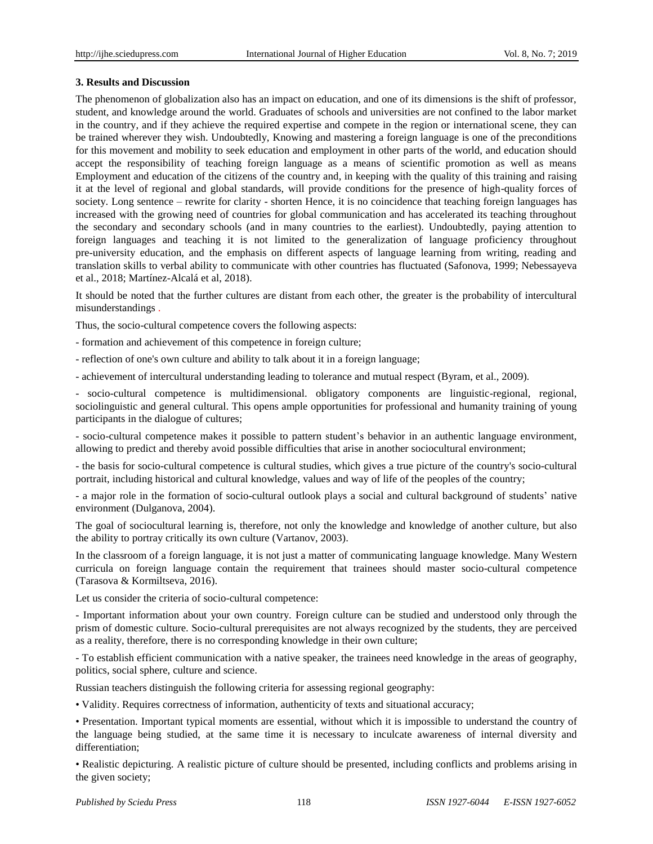#### **3. Results and Discussion**

The phenomenon of globalization also has an impact on education, and one of its dimensions is the shift of professor, student, and knowledge around the world. Graduates of schools and universities are not confined to the labor market in the country, and if they achieve the required expertise and compete in the region or international scene, they can be trained wherever they wish. Undoubtedly, Knowing and mastering a foreign language is one of the preconditions for this movement and mobility to seek education and employment in other parts of the world, and education should accept the responsibility of teaching foreign language as a means of scientific promotion as well as means Employment and education of the citizens of the country and, in keeping with the quality of this training and raising it at the level of regional and global standards, will provide conditions for the presence of high-quality forces of society. Long sentence – rewrite for clarity - shorten Hence, it is no coincidence that teaching foreign languages has increased with the growing need of countries for global communication and has accelerated its teaching throughout the secondary and secondary schools (and in many countries to the earliest). Undoubtedly, paying attention to foreign languages and teaching it is not limited to the generalization of language proficiency throughout pre-university education, and the emphasis on different aspects of language learning from writing, reading and translation skills to verbal ability to communicate with other countries has fluctuated (Safonova, 1999; Nebessayeva et al., 2018; Mart *fiez-Alcal á et al, 2018*).

It should be noted that the further cultures are distant from each other, the greater is the probability of intercultural misunderstandings .

Thus, the socio-cultural competence covers the following aspects:

- formation and achievement of this competence in foreign culture;
- reflection of one's own culture and ability to talk about it in a foreign language;
- achievement of intercultural understanding leading to tolerance and mutual respect (Byram, et al., 2009).

- socio-cultural competence is multidimensional. obligatory components are linguistic-regional, regional, sociolinguistic and general cultural. This opens ample opportunities for professional and humanity training of young participants in the dialogue of cultures;

- socio-cultural competence makes it possible to pattern student's behavior in an authentic language environment, allowing to predict and thereby avoid possible difficulties that arise in another sociocultural environment;

- the basis for socio-cultural competence is cultural studies, which gives a true picture of the country's socio-cultural portrait, including historical and cultural knowledge, values and way of life of the peoples of the country;

- a major role in the formation of socio-cultural outlook plays a social and cultural background of students' native environment (Dulganova, 2004).

The goal of sociocultural learning is, therefore, not only the knowledge and knowledge of another culture, but also the ability to portray critically its own culture (Vartanov, 2003).

In the classroom of a foreign language, it is not just a matter of communicating language knowledge. Many Western curricula on foreign language contain the requirement that trainees should master socio-cultural competence (Tarasova & Kormiltseva, 2016).

Let us consider the criteria of socio-cultural competence:

- Important information about your own country. Foreign culture can be studied and understood only through the prism of domestic culture. Socio-cultural prerequisites are not always recognized by the students, they are perceived as a reality, therefore, there is no corresponding knowledge in their own culture;

- To establish efficient communication with a native speaker, the trainees need knowledge in the areas of geography, politics, social sphere, culture and science.

Russian teachers distinguish the following criteria for assessing regional geography:

• Validity. Requires correctness of information, authenticity of texts and situational accuracy;

• Presentation. Important typical moments are essential, without which it is impossible to understand the country of the language being studied, at the same time it is necessary to inculcate awareness of internal diversity and differentiation;

• Realistic depicturing. A realistic picture of culture should be presented, including conflicts and problems arising in the given society;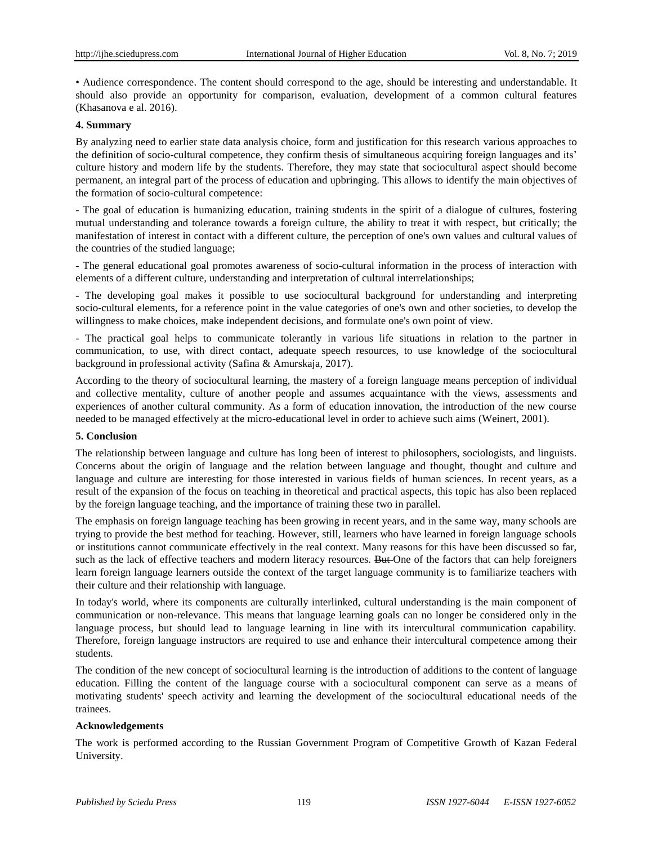• Audience correspondence. The content should correspond to the age, should be interesting and understandable. It should also provide an opportunity for comparison, evaluation, development of a common cultural features (Khasanova e al. 2016).

#### **4. Summary**

By analyzing need to earlier state data analysis choice, form and justification for this research various approaches to the definition of socio-cultural competence, they confirm thesis of simultaneous acquiring foreign languages and its' culture history and modern life by the students. Therefore, they may state that sociocultural aspect should become permanent, an integral part of the process of education and upbringing. This allows to identify the main objectives of the formation of socio-cultural competence:

- The goal of education is humanizing education, training students in the spirit of a dialogue of cultures, fostering mutual understanding and tolerance towards a foreign culture, the ability to treat it with respect, but critically; the manifestation of interest in contact with a different culture, the perception of one's own values and cultural values of the countries of the studied language;

- The general educational goal promotes awareness of socio-cultural information in the process of interaction with elements of a different culture, understanding and interpretation of cultural interrelationships;

- The developing goal makes it possible to use sociocultural background for understanding and interpreting socio-cultural elements, for a reference point in the value categories of one's own and other societies, to develop the willingness to make choices, make independent decisions, and formulate one's own point of view.

- The practical goal helps to communicate tolerantly in various life situations in relation to the partner in communication, to use, with direct contact, adequate speech resources, to use knowledge of the sociocultural background in professional activity (Safina & Amurskaja, 2017).

According to the theory of sociocultural learning, the mastery of a foreign language means perception of individual and collective mentality, culture of another people and assumes acquaintance with the views, assessments and experiences of another cultural community. As a form of education innovation, the introduction of the new course needed to be managed effectively at the micro-educational level in order to achieve such aims (Weinert, 2001).

### **5. Conclusion**

The relationship between language and culture has long been of interest to philosophers, sociologists, and linguists. Concerns about the origin of language and the relation between language and thought, thought and culture and language and culture are interesting for those interested in various fields of human sciences. In recent years, as a result of the expansion of the focus on teaching in theoretical and practical aspects, this topic has also been replaced by the foreign language teaching, and the importance of training these two in parallel.

The emphasis on foreign language teaching has been growing in recent years, and in the same way, many schools are trying to provide the best method for teaching. However, still, learners who have learned in foreign language schools or institutions cannot communicate effectively in the real context. Many reasons for this have been discussed so far, such as the lack of effective teachers and modern literacy resources. But One of the factors that can help foreigners learn foreign language learners outside the context of the target language community is to familiarize teachers with their culture and their relationship with language.

In today's world, where its components are culturally interlinked, cultural understanding is the main component of communication or non-relevance. This means that language learning goals can no longer be considered only in the language process, but should lead to language learning in line with its intercultural communication capability. Therefore, foreign language instructors are required to use and enhance their intercultural competence among their students.

The condition of the new concept of sociocultural learning is the introduction of additions to the content of language education. Filling the content of the language course with a sociocultural component can serve as a means of motivating students' speech activity and learning the development of the sociocultural educational needs of the trainees.

### **Acknowledgements**

The work is performed according to the Russian Government Program of Competitive Growth of Kazan Federal University.